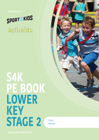



**Your name:**

**www.sport4kids.biz**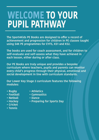# **WELCOME TO YOUR PUPIL PATHWAY**

The Sport4Kids PE Books are designed to offer a record of **achievement and progression for children in PE classes taught using S4K PE programmes for EYFS, KS1 and KS2.**

**The books are used for coach assessment, and for children to self-evaluate and self-assess what they have achieved in each lesson, either during or after class.**

**Our PE Books are truly unique and provides a bespoke curriculum where teachers, pupils and parents can monitor every child's progress through their physical, emotional and social development in line with curriculum standards.**

**Our Lower Key Stage 2 curriculum features the following modules:**

- **Rugby**
- **Athletics • Gymnastics**
- **Football • Netball**
- **Dance**
- **Preparing for Sports Day**
- **Cricket**

**• Hockey**

**• Tennis**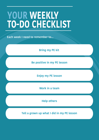# **YOUR WEEKLY TO-DO CHECKLIST**

**Each week I need to remember to...**

**Bring my PE kit**

**Be positive in my PE lesson**

**Enjoy my PE lesson**

**Work in a team**

**Help others**

**Tell a grown up what I did in my PE lesson**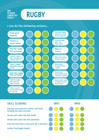



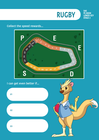

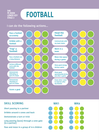### **FOOTBALL**

#### **I can do the following actions...**



#### **SKILL SCORING**

- **Short passing to a partner**
- **Dribble around 6 cones and back**
- **Demonstrate a turn or trick**
- **Long passing (laces) through a cone gate (to a partner)**
- **Pass and move in a group of 4-6 children**

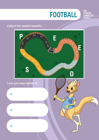

**S4K**

**PE BOOK LOWER KEY STAGE 2**

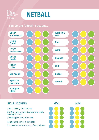



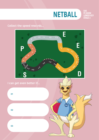

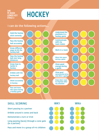



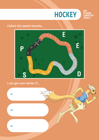

#### **Collect the speed rewards...**



#### **I can get even better if...**

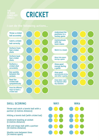**S4K**

### **CRICKET**



#### **SKILL SCORING**

**Throw and catch a tennis ball with a partner (3 metres distance)**

**Hitting a tennis ball (with cricket bat)**

**Underarm bowling at wicket (5 metres distance)**

**Roll and stopa ball with a partner (10 metres distance)**

**Shuttle runs between lines (10 metres apart)**

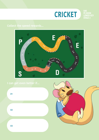



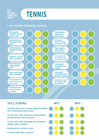



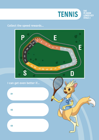

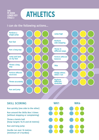## SAK<br>PE BOOK<br>LOWER KEY

#### **I can do the following actions...**



#### **SKILL SCORING**

**Run quickly (one side to the other)**

**Run around the Skills Box 3 times (without stopping or complaining)**

**Throw a tennis ball (hoop targets 10,15 and 20 metres)**

**Run and long jump**

**Hurdle run over 10 metres (minimum of 5 hurdles)**

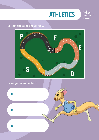

### **Collect the speed rewards...**



#### **I can get even better if...**

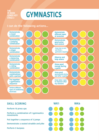### **GYMNASTICS**

#### **I can do the following actions...**





**Perform 10 press ups**

**Perform a combination of 3 gymnastics movements**

**Put together a sequence of 3 jumps**

**Demonstrate a seated straddle and pike**

**Perform 5 burpees**

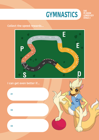

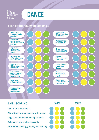

#### **I can do the following actions...**





**Clap in time with music Show Rhythm when dancing with music Copy a partner whilst moving to music Balance on one leg for 5 seconds Alternate balancing, jumping and running**

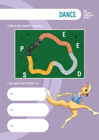

### **Collect the speed rewards...**



#### **I can get even better if...**

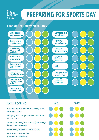## **PREPARING FOR SPORTS DAY**



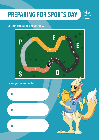### **PREPARING FOR SPORTS DAY**

**S4K PE BOOK LOWER KEY STAGE 2**

SAK

#### **Collect the speed rewards...**



#### **I can get even better if...**